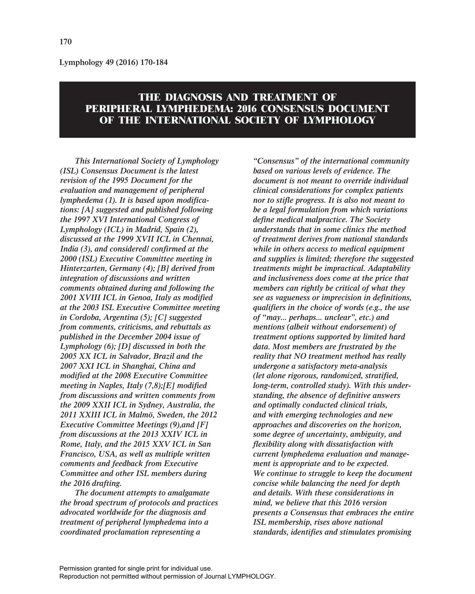**Lymphology 49 (2016) 170-184**

# **THE DIAGNOSIS AND TREATMENT OF PERIPHERAL LYMPHEDEMA: 2016 CONSENSUS DOCUMENT OF THE INTERNATIONAL SOCIETY OF LYMPHOLOGY**

*This International Society of Lymphology (ISL) Consensus Document is the latest revision of the 1995 Document for the evaluation and management of peripheral lymphedema (1). It is based upon modifications: [A] suggested and published following the 1997 XVI International Congress of Lymphology (ICL) in Madrid, Spain (2), discussed at the 1999 XVII ICL in Chennai, India (3), and considered/ confirmed at the 2000 (ISL) Executive Committee meeting in Hinterzarten, Germany (4); [B] derived from integration of discussions and written comments obtained during and following the 2001 XVIII ICL in Genoa, Italy as modified at the 2003 ISL Executive Committee meeting in Cordoba, Argentina (5); [C] suggested from comments, criticisms, and rebuttals as published in the December 2004 issue of Lymphology (6); [D] discussed in both the 2005 XX ICL in Salvador, Brazil and the 2007 XXI ICL in Shanghai, China and modified at the 2008 Executive Committee meeting in Naples, Italy (7,8);[E] modified from discussions and written comments from the 2009 XXII ICL in Sydney, Australia, the 2011 XXIII ICL in Malmö, Sweden, the 2012 Executive Committee Meetings (9),and [F] from discussions at the 2013 XXIV ICL in Rome, Italy, and the 2015 XXV ICL in San Francisco, USA, as well as multiple written comments and feedback from Executive Committee and other ISL members during the 2016 drafting.*

*The document attempts to amalgamate the broad spectrum of protocols and practices advocated worldwide for the diagnosis and treatment of peripheral lymphedema into a coordinated proclamation representing a*

*"Consensus" of the international community based on various levels of evidence. The document is not meant to override individual clinical considerations for complex patients nor to stifle progress. It is also not meant to be a legal formulation from which variations define medical malpractice. The Society understands that in some clinics the method of treatment derives from national standards while in others access to medical equipment and supplies is limited; therefore the suggested treatments might be impractical. Adaptability and inclusiveness does come at the price that members can rightly be critical of what they see as vagueness or imprecision in definitions, qualifiers in the choice of words (e.g., the use of "may... perhaps... unclear", etc.) and mentions (albeit without endorsement) of treatment options supported by limited hard data. Most members are frustrated by the reality that NO treatment method has really undergone a satisfactory meta-analysis (let alone rigorous, randomized, stratified, long-term, controlled study). With this understanding, the absence of definitive answers and optimally conducted clinical trials, and with emerging technologies and new approaches and discoveries on the horizon, some degree of uncertainty, ambiguity, and flexibility along with dissatisfaction with current lymphedema evaluation and management is appropriate and to be expected. We continue to struggle to keep the document concise while balancing the need for depth and details. With these considerations in mind, we believe that this 2016 version presents a Consensus that embraces the entire ISL membership, rises above national standards, identifies and stimulates promising*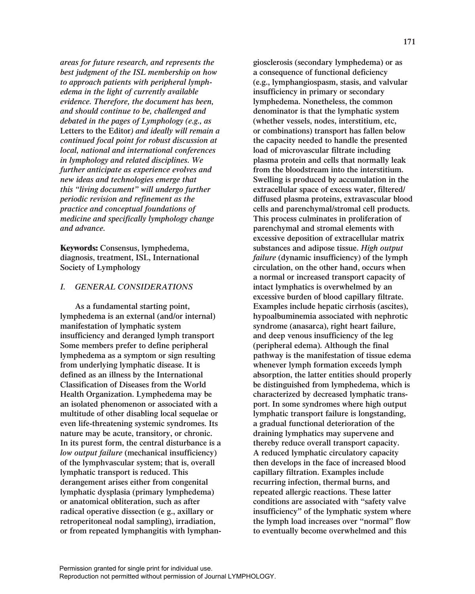*areas for future research, and represents the best judgment of the ISL membership on how to approach patients with peripheral lymphedema in the light of currently available evidence. Therefore, the document has been, and should continue to be, challenged and debated in the pages of Lymphology (e.g., as* **Letters to the Editor***) and ideally will remain a continued focal point for robust discussion at local, national and international conferences in lymphology and related disciplines. We further anticipate as experience evolves and new ideas and technologies emerge that this "living document" will undergo further periodic revision and refinement as the practice and conceptual foundations of medicine and specifically lymphology change and advance.*

**Keywords: Consensus, lymphedema, diagnosis, treatment, ISL, International Society of Lymphology**

## *I. GENERAL CONSIDERATIONS*

**As a fundamental starting point, lymphedema is an external (and/or internal) manifestation of lymphatic system insufficiency and deranged lymph transport Some members prefer to define peripheral lymphedema as a symptom or sign resulting from underlying lymphatic disease. It is defined as an illness by the International Classification of Diseases from the World Health Organization. Lymphedema may be an isolated phenomenon or associated with a multitude of other disabling local sequelae or even life-threatening systemic syndromes. Its nature may be acute, transitory, or chronic. In its purest form, the central disturbance is a** *low output failure* **(mechanical insufficiency) of the lymphvascular system; that is, overall lymphatic transport is reduced. This derangement arises either from congenital lymphatic dysplasia (primary lymphedema) or anatomical obliteration, such as after radical operative dissection (e g., axillary or retroperitoneal nodal sampling), irradiation, or from repeated lymphangitis with lymphan-** **giosclerosis (secondary lymphedema) or as a consequence of functional deficiency (e.g., lymphangiospasm, stasis, and valvular insufficiency in primary or secondary lymphedema. Nonetheless, the common denominator is that the lymphatic system (whether vessels, nodes, interstitium, etc, or combinations) transport has fallen below the capacity needed to handle the presented load of microvascular filtrate including plasma protein and cells that normally leak from the bloodstream into the interstitium. Swelling is produced by accumulation in the extracellular space of excess water, filtered/ diffused plasma proteins, extravascular blood cells and parenchymal/stromal cell products. This process culminates in proliferation of parenchymal and stromal elements with excessive deposition of extracellular matrix substances and adipose tissue.** *High output failure* **(dynamic insufficiency) of the lymph circulation, on the other hand, occurs when a normal or increased transport capacity of intact lymphatics is overwhelmed by an excessive burden of blood capillary filtrate. Examples include hepatic cirrhosis (ascites), hypoalbuminemia associated with nephrotic syndrome (anasarca), right heart failure, and deep venous insufficiency of the leg (peripheral edema). Although the final pathway is the manifestation of tissue edema whenever lymph formation exceeds lymph absorption, the latter entities should properly be distinguished from lymphedema, which is characterized by decreased lymphatic transport. In some syndromes where high output lymphatic transport failure is longstanding, a gradual functional deterioration of the draining lymphatics may supervene and thereby reduce overall transport capacity. A reduced lymphatic circulatory capacity then develops in the face of increased blood capillary filtration. Examples include recurring infection, thermal burns, and repeated allergic reactions. These latter conditions are associated with "safety valve insufficiency" of the lymphatic system where the lymph load increases over "normal" flow to eventually become overwhelmed and this**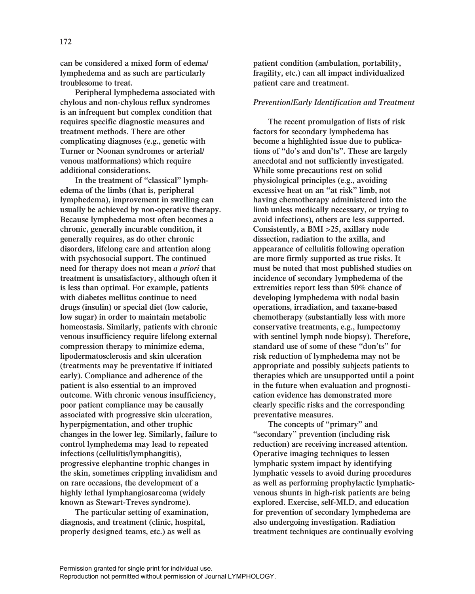**can be considered a mixed form of edema/ lymphedema and as such are particularly troublesome to treat.**

**Peripheral lymphedema associated with chylous and non-chylous reflux syndromes is an infrequent but complex condition that requires specific diagnostic measures and treatment methods. There are other complicating diagnoses (e.g., genetic with Turner or Noonan syndromes or arterial/ venous malformations) which require additional considerations.**

**In the treatment of "classical" lymphedema of the limbs (that is, peripheral lymphedema), improvement in swelling can usually be achieved by non-operative therapy. Because lymphedema most often becomes a chronic, generally incurable condition, it generally requires, as do other chronic disorders, lifelong care and attention along with psychosocial support. The continued need for therapy does not mean** *a priori* **that treatment is unsatisfactory, although often it is less than optimal. For example, patients with diabetes mellitus continue to need drugs (insulin) or special diet (low calorie, low sugar) in order to maintain metabolic homeostasis. Similarly, patients with chronic venous insufficiency require lifelong external compression therapy to minimize edema, lipodermatosclerosis and skin ulceration (treatments may be preventative if initiated early). Compliance and adherence of the patient is also essential to an improved outcome. With chronic venous insufficiency, poor patient compliance may be causally associated with progressive skin ulceration, hyperpigmentation, and other trophic changes in the lower leg. Similarly, failure to control lymphedema may lead to repeated infections (cellulitis/lymphangitis), progressive elephantine trophic changes in the skin, sometimes crippling invalidism and on rare occasions, the development of a highly lethal lymphangiosarcoma (widely known as Stewart-Treves syndrome).**

**The particular setting of examination, diagnosis, and treatment (clinic, hospital, properly designed teams, etc.) as well as**

**patient condition (ambulation, portability, fragility, etc.) can all impact individualized patient care and treatment.**

## *Prevention/Early Identification and Treatment*

**The recent promulgation of lists of risk factors for secondary lymphedema has become a highlighted issue due to publications of "do's and don'ts". These are largely anecdotal and not sufficiently investigated. While some precautions rest on solid physiological principles (e.g., avoiding excessive heat on an "at risk" limb, not having chemotherapy administered into the limb unless medically necessary, or trying to avoid infections), others are less supported. Consistently, a BMI >25, axillary node dissection, radiation to the axilla, and appearance of cellulitis following operation are more firmly supported as true risks. It must be noted that most published studies on incidence of secondary lymphedema of the extremities report less than 50% chance of developing lymphedema with nodal basin operations, irradiation, and taxane-based chemotherapy (substantially less with more conservative treatments, e.g., lumpectomy with sentinel lymph node biopsy). Therefore, standard use of some of these "don'ts" for risk reduction of lymphedema may not be appropriate and possibly subjects patients to therapies which are unsupported until a point in the future when evaluation and prognostication evidence has demonstrated more clearly specific risks and the corresponding preventative measures.**

**The concepts of "primary" and "secondary" prevention (including risk reduction) are receiving increased attention. Operative imaging techniques to lessen lymphatic system impact by identifying lymphatic vessels to avoid during procedures as well as performing prophylactic lymphaticvenous shunts in high-risk patients are being explored. Exercise, self-MLD, and education for prevention of secondary lymphedema are also undergoing investigation. Radiation treatment techniques are continually evolving**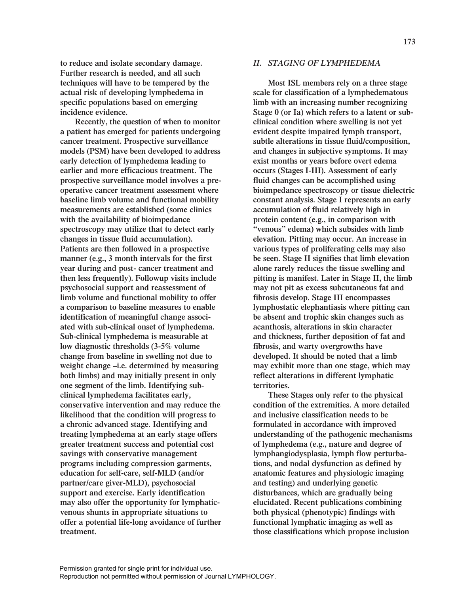**to reduce and isolate secondary damage. Further research is needed, and all such techniques will have to be tempered by the actual risk of developing lymphedema in specific populations based on emerging incidence evidence.** 

**Recently, the question of when to monitor a patient has emerged for patients undergoing cancer treatment. Prospective surveillance models (PSM) have been developed to address early detection of lymphedema leading to earlier and more efficacious treatment. The prospective surveillance model involves a preoperative cancer treatment assessment where baseline limb volume and functional mobility measurements are established (some clinics with the availability of bioimpedance spectroscopy may utilize that to detect early changes in tissue fluid accumulation). Patients are then followed in a prospective manner (e.g., 3 month intervals for the first year during and post- cancer treatment and then less frequently). Followup visits include psychosocial support and reassessment of limb volume and functional mobility to offer a comparison to baseline measures to enable identification of meaningful change associated with sub-clinical onset of lymphedema. Sub-clinical lymphedema is measurable at low diagnostic thresholds (3-5% volume change from baseline in swelling not due to weight change –i.e. determined by measuring both limbs) and may initially present in only one segment of the limb. Identifying subclinical lymphedema facilitates early, conservative intervention and may reduce the likelihood that the condition will progress to a chronic advanced stage. Identifying and treating lymphedema at an early stage offers greater treatment success and potential cost savings with conservative management programs including compression garments, education for self-care, self-MLD (and/or partner/care giver-MLD), psychosocial support and exercise. Early identification may also offer the opportunity for lymphaticvenous shunts in appropriate situations to offer a potential life-long avoidance of further treatment.**

## *II. STAGING OF LYMPHEDEMA*

**Most ISL members rely on a three stage scale for classification of a lymphedematous limb with an increasing number recognizing Stage 0 (or Ia) which refers to a latent or subclinical condition where swelling is not yet evident despite impaired lymph transport, subtle alterations in tissue fluid/composition, and changes in subjective symptoms. It may exist months or years before overt edema occurs (Stages I-III). Assessment of early fluid changes can be accomplished using bioimpedance spectroscopy or tissue dielectric constant analysis. Stage I represents an early accumulation of fluid relatively high in protein content (e.g., in comparison with "venous" edema) which subsides with limb elevation. Pitting may occur. An increase in various types of proliferating cells may also be seen. Stage II signifies that limb elevation alone rarely reduces the tissue swelling and pitting is manifest. Later in Stage II, the limb may not pit as excess subcutaneous fat and fibrosis develop. Stage III encompasses lymphostatic elephantiasis where pitting can be absent and trophic skin changes such as acanthosis, alterations in skin character and thickness, further deposition of fat and fibrosis, and warty overgrowths have developed. It should be noted that a limb may exhibit more than one stage, which may reflect alterations in different lymphatic territories.**

**These Stages only refer to the physical condition of the extremities. A more detailed and inclusive classification needs to be formulated in accordance with improved understanding of the pathogenic mechanisms of lymphedema (e.g., nature and degree of lymphangiodysplasia, lymph flow perturbations, and nodal dysfunction as defined by anatomic features and physiologic imaging and testing) and underlying genetic disturbances, which are gradually being elucidated. Recent publications combining both physical (phenotypic) findings with functional lymphatic imaging as well as those classifications which propose inclusion**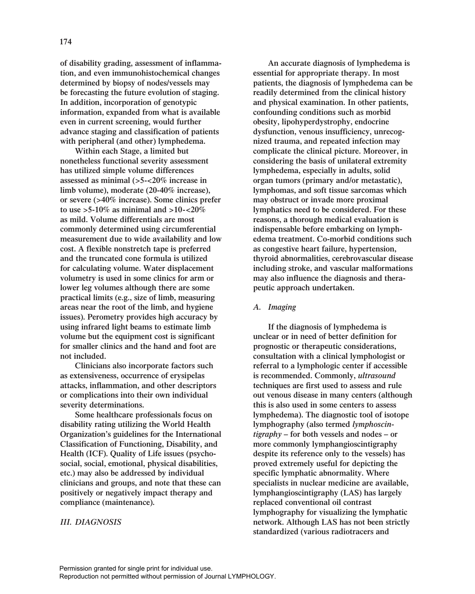**of disability grading, assessment of inflammation, and even immunohistochemical changes determined by biopsy of nodes/vessels may be forecasting the future evolution of staging. In addition, incorporation of genotypic information, expanded from what is available even in current screening, would further advance staging and classification of patients with peripheral (and other) lymphedema.** 

**Within each Stage, a limited but nonetheless functional severity assessment has utilized simple volume differences assessed as minimal (>5-<20% increase in limb volume), moderate (20-40% increase), or severe (>40% increase). Some clinics prefer to use >5-10% as minimal and >10-<20% as mild. Volume differentials are most commonly determined using circumferential measurement due to wide availability and low cost. A flexible nonstretch tape is preferred and the truncated cone formula is utilized for calculating volume. Water displacement volumetry is used in some clinics for arm or lower leg volumes although there are some practical limits (e.g., size of limb, measuring areas near the root of the limb, and hygiene issues). Perometry provides high accuracy by using infrared light beams to estimate limb volume but the equipment cost is significant for smaller clinics and the hand and foot are not included.**

**Clinicians also incorporate factors such as extensiveness, occurrence of erysipelas attacks, inflammation, and other descriptors or complications into their own individual severity determinations.**

**Some healthcare professionals focus on disability rating utilizing the World Health Organization's guidelines for the International Classification of Functioning, Disability, and Health (ICF). Quality of Life issues (psychosocial, social, emotional, physical disabilities, etc.) may also be addressed by individual clinicians and groups, and note that these can positively or negatively impact therapy and compliance (maintenance).** 

# *III. DIAGNOSIS*

**An accurate diagnosis of lymphedema is essential for appropriate therapy. In most patients, the diagnosis of lymphedema can be readily determined from the clinical history and physical examination. In other patients, confounding conditions such as morbid obesity, lipohyperdystrophy, endocrine dysfunction, venous insufficiency, unrecognized trauma, and repeated infection may complicate the clinical picture. Moreover, in considering the basis of unilateral extremity lymphedema, especially in adults, solid organ tumors (primary and/or metastatic), lymphomas, and soft tissue sarcomas which may obstruct or invade more proximal lymphatics need to be considered. For these reasons, a thorough medical evaluation is indispensable before embarking on lymphedema treatment. Co-morbid conditions such as congestive heart failure, hypertension, thyroid abnormalities, cerebrovascular disease including stroke, and vascular malformations may also influence the diagnosis and therapeutic approach undertaken.** 

## *A. Imaging*

**If the diagnosis of lymphedema is unclear or in need of better definition for prognostic or therapeutic considerations, consultation with a clinical lymphologist or referral to a lymphologic center if accessible is recommended. Commonly,** *ultrasound* **techniques are first used to assess and rule out venous disease in many centers (although this is also used in some centers to assess lymphedema). The diagnostic tool of isotope lymphography (also termed** *lymphoscintigraphy* **– for both vessels and nodes – or more commonly lymphangioscintigraphy despite its reference only to the vessels) has proved extremely useful for depicting the specific lymphatic abnormality. Where specialists in nuclear medicine are available, lymphangioscintigraphy (LAS) has largely replaced conventional oil contrast lymphography for visualizing the lymphatic network. Although LAS has not been strictly standardized (various radiotracers and**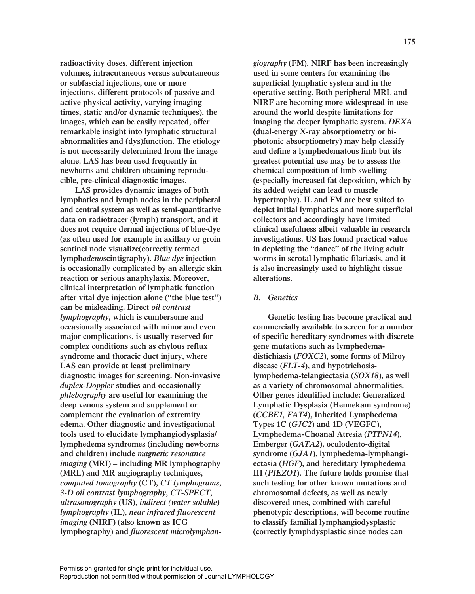**radioactivity doses, different injection volumes, intracutaneous versus subcutaneous or subfascial injections, one or more injections, different protocols of passive and active physical activity, varying imaging times, static and/or dynamic techniques), the images, which can be easily repeated, offer remarkable insight into lymphatic structural abnormalities and (dys)function. The etiology is not necessarily determined from the image alone. LAS has been used frequently in newborns and children obtaining reproducible, pre-clinical diagnostic images.**

**LAS provides dynamic images of both lymphatics and lymph nodes in the peripheral and central system as well as semi-quantitative data on radiotracer (lymph) transport, and it does not require dermal injections of blue-dye (as often used for example in axillary or groin sentinel node visualize(correctly termed lymph***adeno***scintigraphy).** *Blue dye* **injection is occasionally complicated by an allergic skin reaction or serious anaphylaxis. Moreover, clinical interpretation of lymphatic function after vital dye injection alone ("the blue test") can be misleading. Direct** *oil contrast lymphography***, which is cumbersome and occasionally associated with minor and even major complications, is usually reserved for complex conditions such as chylous reflux syndrome and thoracic duct injury, where LAS can provide at least preliminary diagnostic images for screening. Non-invasive** *duplex-Doppler* **studies and occasionally** *phlebography* **are useful for examining the deep venous system and supplement or complement the evaluation of extremity edema. Other diagnostic and investigational tools used to elucidate lymphangiodysplasia/ lymphedema syndromes (including newborns and children) include** *magnetic resonance imaging* **(MRI) – including MR lymphography (MRL) and MR angiography techniques,** *computed tomography* **(CT),** *CT lymphograms***,** *3-D oil contrast lymphography***,** *CT-SPECT***,** *ultrasonography* **(US),** *indirect (water soluble) lymphography* **(IL),** *near infrared fluorescent imaging* **(NIRF) (also known as ICG lymphography) and** *fluorescent microlymphan-* *giography* **(FM). NIRF has been increasingly used in some centers for examining the superficial lymphatic system and in the operative setting. Both peripheral MRL and NIRF are becoming more widespread in use around the world despite limitations for imaging the deeper lymphatic system.** *DEXA* **(dual-energy X-ray absorptiometry or biphotonic absorptiometry) may help classify and define a lymphedematous limb but its greatest potential use may be to assess the chemical composition of limb swelling (especially increased fat deposition, which by its added weight can lead to muscle hypertrophy). IL and FM are best suited to depict initial lymphatics and more superficial collectors and accordingly have limited clinical usefulness albeit valuable in research investigations. US has found practical value in depicting the "dance" of the living adult worms in scrotal lymphatic filariasis, and it is also increasingly used to highlight tissue alterations.**

#### *B. Genetics*

**Genetic testing has become practical and commercially available to screen for a number of specific hereditary syndromes with discrete gene mutations such as lymphedemadistichiasis (***FOXC2***), some forms of Milroy disease (***FLT-4***), and hypotrichosislymphedema-telangiectasia (***SOX18***), as well as a variety of chromosomal abnormalities. Other genes identified include: Generalized Lymphatic Dysplasia (Hennekam syndrome) (***CCBE1, FAT4***), Inherited Lymphedema Types 1C (***GJC2***) and 1D (VEGFC), Lymphedema-Choanal Atresia (***PTPN14***), Emberger (***GATA2***), oculodento-digital syndrome (***GJA1***), lymphedema-lymphangiectasia (***HGF***), and hereditary lymphedema III (***PIEZO1***). The future holds promise that such testing for other known mutations and chromosomal defects, as well as newly discovered ones, combined with careful phenotypic descriptions, will become routine to classify familial lymphangiodysplastic (correctly lymphdysplastic since nodes can**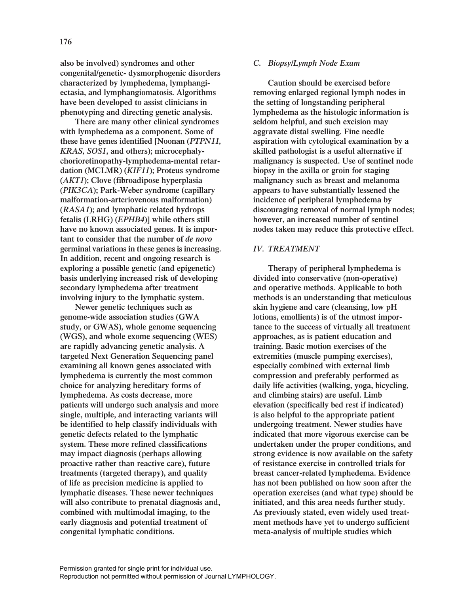**also be involved) syndromes and other congenital/genetic- dysmorphogenic disorders characterized by lymphedema, lymphangiectasia, and lymphangiomatosis. Algorithms have been developed to assist clinicians in phenotyping and directing genetic analysis.** 

**There are many other clinical syndromes with lymphedema as a component. Some of these have genes identified [Noonan (***PTPN11, KRAS, SOS1***, and others); microcephalychorioretinopathy-lymphedema-mental retardation (MCLMR) (***KIF11***); Proteus syndrome (***AKT1***); Clove (fibroadipose hyperplasia (***PIK3CA***); Park-Weber syndrome (capillary malformation-arteriovenous malformation) (***RASA1***); and lymphatic related hydrops fetalis (LRHG) (***EPHB4***)] while others still have no known associated genes. It is important to consider that the number of** *de novo* **germinal variations in these genes is increasing. In addition, recent and ongoing research is exploring a possible genetic (and epigenetic) basis underlying increased risk of developing secondary lymphedema after treatment involving injury to the lymphatic system.**

**Newer genetic techniques such as genome-wide association studies (GWA study, or GWAS), whole genome sequencing (WGS), and whole exome sequencing (WES) are rapidly advancing genetic analysis. A targeted Next Generation Sequencing panel examining all known genes associated with lymphedema is currently the most common choice for analyzing hereditary forms of lymphedema. As costs decrease, more patients will undergo such analysis and more single, multiple, and interacting variants will be identified to help classify individuals with genetic defects related to the lymphatic system. These more refined classifications may impact diagnosis (perhaps allowing proactive rather than reactive care), future treatments (targeted therapy), and quality of life as precision medicine is applied to lymphatic diseases. These newer techniques will also contribute to prenatal diagnosis and, combined with multimodal imaging, to the early diagnosis and potential treatment of congenital lymphatic conditions.**

## *C. Biopsy/Lymph Node Exam*

**Caution should be exercised before removing enlarged regional lymph nodes in the setting of longstanding peripheral lymphedema as the histologic information is seldom helpful, and such excision may aggravate distal swelling. Fine needle aspiration with cytological examination by a skilled pathologist is a useful alternative if malignancy is suspected. Use of sentinel node biopsy in the axilla or groin for staging malignancy such as breast and melanoma appears to have substantially lessened the incidence of peripheral lymphedema by discouraging removal of normal lymph nodes; however, an increased number of sentinel nodes taken may reduce this protective effect.**

## *IV. TREATMENT*

**Therapy of peripheral lymphedema is divided into conservative (non-operative) and operative methods. Applicable to both methods is an understanding that meticulous skin hygiene and care (cleansing, low pH lotions, emollients) is of the utmost importance to the success of virtually all treatment approaches, as is patient education and training. Basic motion exercises of the extremities (muscle pumping exercises), especially combined with external limb compression and preferably performed as daily life activities (walking, yoga, bicycling, and climbing stairs) are useful. Limb elevation (specifically bed rest if indicated) is also helpful to the appropriate patient undergoing treatment. Newer studies have indicated that more vigorous exercise can be undertaken under the proper conditions, and strong evidence is now available on the safety of resistance exercise in controlled trials for breast cancer-related lymphedema. Evidence has not been published on how soon after the operation exercises (and what type) should be initiated, and this area needs further study. As previously stated, even widely used treatment methods have yet to undergo sufficient meta-analysis of multiple studies which**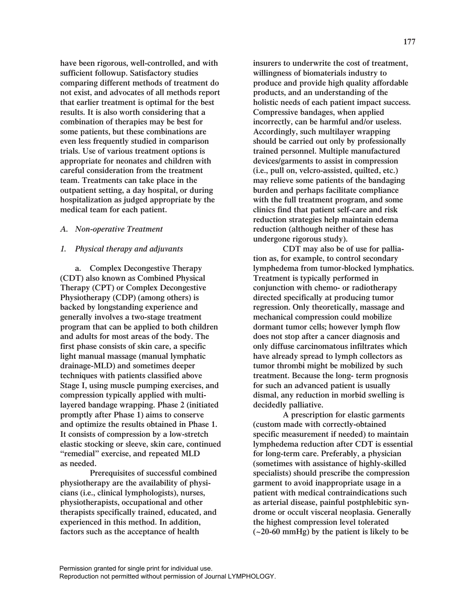**have been rigorous, well-controlled, and with sufficient followup. Satisfactory studies comparing different methods of treatment do not exist, and advocates of all methods report that earlier treatment is optimal for the best results. It is also worth considering that a combination of therapies may be best for some patients, but these combinations are even less frequently studied in comparison trials. Use of various treatment options is appropriate for neonates and children with careful consideration from the treatment team. Treatments can take place in the outpatient setting, a day hospital, or during hospitalization as judged appropriate by the medical team for each patient.**

## *A. Non-operative Treatment*

#### *1. Physical therapy and adjuvants*

**a. Complex Decongestive Therapy (CDT) also known as Combined Physical Therapy (CPT) or Complex Decongestive Physiotherapy (CDP) (among others) is backed by longstanding experience and generally involves a two-stage treatment program that can be applied to both children and adults for most areas of the body. The first phase consists of skin care, a specific light manual massage (manual lymphatic drainage-MLD) and sometimes deeper techniques with patients classified above Stage I, using muscle pumping exercises, and compression typically applied with multilayered bandage wrapping. Phase 2 (initiated promptly after Phase 1) aims to conserve and optimize the results obtained in Phase 1. It consists of compression by a low-stretch elastic stocking or sleeve, skin care, continued "remedial" exercise, and repeated MLD as needed.**

**Prerequisites of successful combined physiotherapy are the availability of physicians (i.e., clinical lymphologists), nurses, physiotherapists, occupational and other therapists specifically trained, educated, and experienced in this method. In addition, factors such as the acceptance of health**

**insurers to underwrite the cost of treatment, willingness of biomaterials industry to produce and provide high quality affordable products, and an understanding of the holistic needs of each patient impact success. Compressive bandages, when applied incorrectly, can be harmful and/or useless. Accordingly, such multilayer wrapping should be carried out only by professionally trained personnel. Multiple manufactured devices/garments to assist in compression (i.e., pull on, velcro-assisted, quilted, etc.) may relieve some patients of the bandaging burden and perhaps facilitate compliance with the full treatment program, and some clinics find that patient self-care and risk reduction strategies help maintain edema reduction (although neither of these has undergone rigorous study).**

**CDT may also be of use for palliation as, for example, to control secondary lymphedema from tumor-blocked lymphatics. Treatment is typically performed in conjunction with chemo- or radiotherapy directed specifically at producing tumor regression. Only theoretically, massage and mechanical compression could mobilize dormant tumor cells; however lymph flow does not stop after a cancer diagnosis and only diffuse carcinomatous infiltrates which have already spread to lymph collectors as tumor thrombi might be mobilized by such treatment. Because the long- term prognosis for such an advanced patient is usually dismal, any reduction in morbid swelling is decidedly palliative.** 

**A prescription for elastic garments (custom made with correctly-obtained specific measurement if needed) to maintain lymphedema reduction after CDT is essential for long-term care. Preferably, a physician (sometimes with assistance of highly-skilled specialists) should prescribe the compression garment to avoid inappropriate usage in a patient with medical contraindications such as arterial disease, painful postphlebitic syndrome or occult visceral neoplasia. Generally the highest compression level tolerated (~20-60 mmHg) by the patient is likely to be**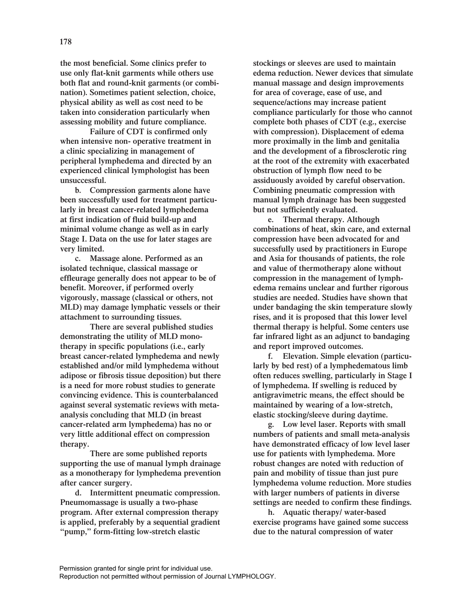**the most beneficial. Some clinics prefer to use only flat-knit garments while others use both flat and round-knit garments (or combination). Sometimes patient selection, choice, physical ability as well as cost need to be taken into consideration particularly when assessing mobility and future compliance.**

**Failure of CDT is confirmed only when intensive non- operative treatment in a clinic specializing in management of peripheral lymphedema and directed by an experienced clinical lymphologist has been unsuccessful.**

**b. Compression garments alone have been successfully used for treatment particularly in breast cancer-related lymphedema at first indication of fluid build-up and minimal volume change as well as in early Stage I. Data on the use for later stages are very limited.**

**c. Massage alone. Performed as an isolated technique, classical massage or effleurage generally does not appear to be of benefit. Moreover, if performed overly vigorously, massage (classical or others, not MLD) may damage lymphatic vessels or their attachment to surrounding tissues.** 

**There are several published studies demonstrating the utility of MLD monotherapy in specific populations (i.e., early breast cancer-related lymphedema and newly established and/or mild lymphedema without adipose or fibrosis tissue deposition) but there is a need for more robust studies to generate convincing evidence. This is counterbalanced against several systematic reviews with metaanalysis concluding that MLD (in breast cancer-related arm lymphedema) has no or very little additional effect on compression therapy.** 

**There are some published reports supporting the use of manual lymph drainage as a monotherapy for lymphedema prevention after cancer surgery.**

**d. Intermittent pneumatic compression. Pneumomassage is usually a two-phase program. After external compression therapy is applied, preferably by a sequential gradient "pump," form-fitting low-stretch elastic**

**stockings or sleeves are used to maintain edema reduction. Newer devices that simulate manual massage and design improvements for area of coverage, ease of use, and sequence/actions may increase patient compliance particularly for those who cannot complete both phases of CDT (e.g., exercise with compression). Displacement of edema more proximally in the limb and genitalia and the development of a fibrosclerotic ring at the root of the extremity with exacerbated obstruction of lymph flow need to be assiduously avoided by careful observation. Combining pneumatic compression with manual lymph drainage has been suggested but not sufficiently evaluated.** 

**e. Thermal therapy. Although combinations of heat, skin care, and external compression have been advocated for and successfully used by practitioners in Europe and Asia for thousands of patients, the role and value of thermotherapy alone without compression in the management of lymphedema remains unclear and further rigorous studies are needed. Studies have shown that under bandaging the skin temperature slowly rises, and it is proposed that this lower level thermal therapy is helpful. Some centers use far infrared light as an adjunct to bandaging and report improved outcomes.**

**f. Elevation. Simple elevation (particularly by bed rest) of a lymphedematous limb often reduces swelling, particularly in Stage I of lymphedema. If swelling is reduced by antigravimetric means, the effect should be maintained by wearing of a low-stretch, elastic stocking/sleeve during daytime.**

**g. Low level laser. Reports with small numbers of patients and small meta-analysis have demonstrated efficacy of low level laser use for patients with lymphedema. More robust changes are noted with reduction of pain and mobility of tissue than just pure lymphedema volume reduction. More studies with larger numbers of patients in diverse settings are needed to confirm these findings.**

**h. Aquatic therapy/ water-based exercise programs have gained some success due to the natural compression of water**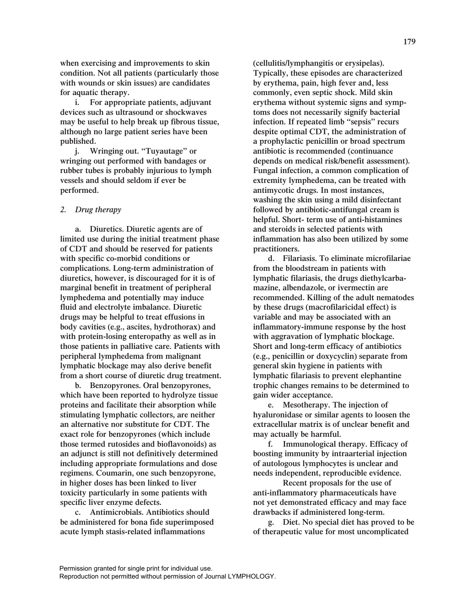**when exercising and improvements to skin condition. Not all patients (particularly those with wounds or skin issues) are candidates for aquatic therapy.** 

**i. For appropriate patients, adjuvant devices such as ultrasound or shockwaves may be useful to help break up fibrous tissue, although no large patient series have been published.**

**j. Wringing out. "Tuyautage" or wringing out performed with bandages or rubber tubes is probably injurious to lymph vessels and should seldom if ever be performed.**

## *2. Drug therapy*

**a. Diuretics. Diuretic agents are of limited use during the initial treatment phase of CDT and should be reserved for patients with specific co-morbid conditions or complications. Long-term administration of diuretics, however, is discouraged for it is of marginal benefit in treatment of peripheral lymphedema and potentially may induce fluid and electrolyte imbalance. Diuretic drugs may be helpful to treat effusions in body cavities (e.g., ascites, hydrothorax) and with protein-losing enteropathy as well as in those patients in palliative care. Patients with peripheral lymphedema from malignant lymphatic blockage may also derive benefit from a short course of diuretic drug treatment.**

**b. Benzopyrones. Oral benzopyrones, which have been reported to hydrolyze tissue proteins and facilitate their absorption while stimulating lymphatic collectors, are neither an alternative nor substitute for CDT. The exact role for benzopyrones (which include those termed rutosides and bioflavonoids) as an adjunct is still not definitively determined including appropriate formulations and dose regimens. Coumarin, one such benzopyrone, in higher doses has been linked to liver toxicity particularly in some patients with specific liver enzyme defects.** 

**c. Antimicrobials. Antibiotics should be administered for bona fide superimposed acute lymph stasis-related inflammations**

**(cellulitis/lymphangitis or erysipelas). Typically, these episodes are characterized by erythema, pain, high fever and, less commonly, even septic shock. Mild skin erythema without systemic signs and symptoms does not necessarily signify bacterial infection. If repeated limb "sepsis" recurs despite optimal CDT, the administration of a prophylactic penicillin or broad spectrum antibiotic is recommended (continuance depends on medical risk/benefit assessment). Fungal infection, a common complication of extremity lymphedema, can be treated with antimycotic drugs. In most instances, washing the skin using a mild disinfectant followed by antibiotic-antifungal cream is helpful. Short- term use of anti-histamines and steroids in selected patients with inflammation has also been utilized by some practitioners.**

**d. Filariasis. To eliminate microfilariae from the bloodstream in patients with lymphatic filariasis, the drugs diethylcarbamazine, albendazole, or ivermectin are recommended. Killing of the adult nematodes by these drugs (macrofilaricidal effect) is variable and may be associated with an inflammatory-immune response by the host with aggravation of lymphatic blockage. Short and long-term efficacy of antibiotics (e.g., penicillin or doxycyclin) separate from general skin hygiene in patients with lymphatic filariasis to prevent elephantine trophic changes remains to be determined to gain wider acceptance.**

**e. Mesotherapy. The injection of hyaluronidase or similar agents to loosen the extracellular matrix is of unclear benefit and may actually be harmful.**

**f. Immunological therapy. Efficacy of boosting immunity by intraarterial injection of autologous lymphocytes is unclear and needs independent, reproducible evidence.** 

**Recent proposals for the use of anti-inflammatory pharmaceuticals have not yet demonstrated efficacy and may face drawbacks if administered long-term.**

**g. Diet. No special diet has proved to be of therapeutic value for most uncomplicated**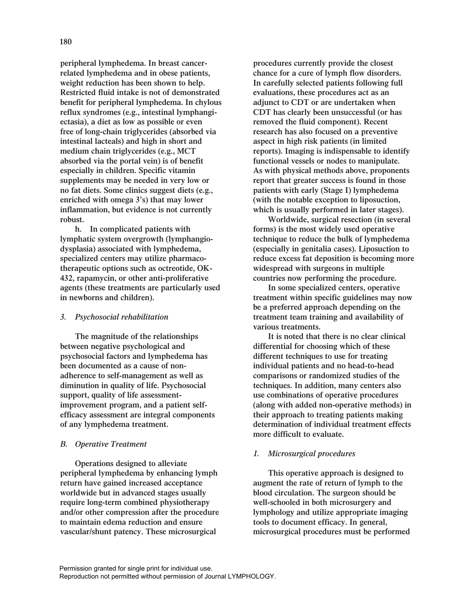**peripheral lymphedema. In breast cancerrelated lymphedema and in obese patients, weight reduction has been shown to help. Restricted fluid intake is not of demonstrated benefit for peripheral lymphedema. In chylous reflux syndromes (e.g., intestinal lymphangiectasia), a diet as low as possible or even free of long-chain triglycerides (absorbed via intestinal lacteals) and high in short and medium chain triglycerides (e.g., MCT absorbed via the portal vein) is of benefit especially in children. Specific vitamin supplements may be needed in very low or no fat diets. Some clinics suggest diets (e.g., enriched with omega 3's) that may lower inflammation, but evidence is not currently robust.**

**h. In complicated patients with lymphatic system overgrowth (lymphangiodysplasia) associated with lymphedema, specialized centers may utilize pharmacotherapeutic options such as octreotide, OK-432, rapamycin, or other anti-proliferative agents (these treatments are particularly used in newborns and children).**

## *3. Psychosocial rehabilitation*

**The magnitude of the relationships between negative psychological and psychosocial factors and lymphedema has been documented as a cause of nonadherence to self-management as well as diminution in quality of life. Psychosocial support, quality of life assessmentimprovement program, and a patient selfefficacy assessment are integral components of any lymphedema treatment.**

## *B. Operative Treatment*

**Operations designed to alleviate peripheral lymphedema by enhancing lymph return have gained increased acceptance worldwide but in advanced stages usually require long-term combined physiotherapy and/or other compression after the procedure to maintain edema reduction and ensure vascular/shunt patency. These microsurgical**

**procedures currently provide the closest chance for a cure of lymph flow disorders. In carefully selected patients following full evaluations, these procedures act as an adjunct to CDT or are undertaken when CDT has clearly been unsuccessful (or has removed the fluid component). Recent research has also focused on a preventive aspect in high risk patients (in limited reports). Imaging is indispensable to identify functional vessels or nodes to manipulate. As with physical methods above, proponents report that greater success is found in those patients with early (Stage I) lymphedema (with the notable exception to liposuction, which is usually performed in later stages).** 

**Worldwide, surgical resection (in several forms) is the most widely used operative technique to reduce the bulk of lymphedema (especially in genitalia cases). Liposuction to reduce excess fat deposition is becoming more widespread with surgeons in multiple countries now performing the procedure.** 

**In some specialized centers, operative treatment within specific guidelines may now be a preferred approach depending on the treatment team training and availability of various treatments.**

**It is noted that there is no clear clinical differential for choosing which of these different techniques to use for treating individual patients and no head-to-head comparisons or randomized studies of the techniques. In addition, many centers also use combinations of operative procedures (along with added non-operative methods) in their approach to treating patients making determination of individual treatment effects more difficult to evaluate.**

## *1. Microsurgical procedures*

**This operative approach is designed to augment the rate of return of lymph to the blood circulation. The surgeon should be well-schooled in both microsurgery and lymphology and utilize appropriate imaging tools to document efficacy. In general, microsurgical procedures must be performed**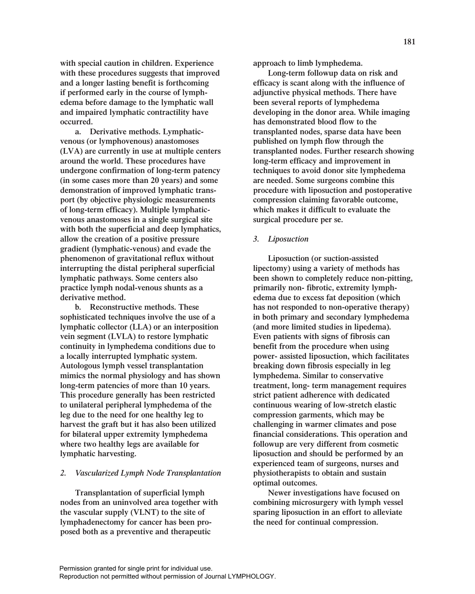**with special caution in children. Experience with these procedures suggests that improved and a longer lasting benefit is forthcoming if performed early in the course of lymphedema before damage to the lymphatic wall and impaired lymphatic contractility have occurred.**

**a. Derivative methods. Lymphaticvenous (or lymphovenous) anastomoses (LVA) are currently in use at multiple centers around the world. These procedures have undergone confirmation of long-term patency (in some cases more than 20 years) and some demonstration of improved lymphatic transport (by objective physiologic measurements of long-term efficacy). Multiple lymphaticvenous anastomoses in a single surgical site with both the superficial and deep lymphatics, allow the creation of a positive pressure gradient (lymphatic-venous) and evade the phenomenon of gravitational reflux without interrupting the distal peripheral superficial lymphatic pathways. Some centers also practice lymph nodal-venous shunts as a derivative method.**

**b. Reconstructive methods. These sophisticated techniques involve the use of a lymphatic collector (LLA) or an interposition vein segment (LVLA) to restore lymphatic continuity in lymphedema conditions due to a locally interrupted lymphatic system. Autologous lymph vessel transplantation mimics the normal physiology and has shown long-term patencies of more than 10 years. This procedure generally has been restricted to unilateral peripheral lymphedema of the leg due to the need for one healthy leg to harvest the graft but it has also been utilized for bilateral upper extremity lymphedema where two healthy legs are available for lymphatic harvesting.**

#### *2. Vascularized Lymph Node Transplantation*

**Transplantation of superficial lymph nodes from an uninvolved area together with the vascular supply (VLNT) to the site of lymphadenectomy for cancer has been proposed both as a preventive and therapeutic**

**approach to limb lymphedema.**

**Long-term followup data on risk and efficacy is scant along with the influence of adjunctive physical methods. There have been several reports of lymphedema developing in the donor area. While imaging has demonstrated blood flow to the transplanted nodes, sparse data have been published on lymph flow through the transplanted nodes. Further research showing long-term efficacy and improvement in techniques to avoid donor site lymphedema are needed. Some surgeons combine this procedure with liposuction and postoperative compression claiming favorable outcome, which makes it difficult to evaluate the surgical procedure per se.**

#### *3. Liposuction*

**Liposuction (or suction-assisted lipectomy) using a variety of methods has been shown to completely reduce non-pitting, primarily non- fibrotic, extremity lymphedema due to excess fat deposition (which has not responded to non-operative therapy) in both primary and secondary lymphedema (and more limited studies in lipedema). Even patients with signs of fibrosis can benefit from the procedure when using power- assisted liposuction, which facilitates breaking down fibrosis especially in leg lymphedema. Similar to conservative treatment, long- term management requires strict patient adherence with dedicated continuous wearing of low-stretch elastic compression garments, which may be challenging in warmer climates and pose financial considerations. This operation and followup are very different from cosmetic liposuction and should be performed by an experienced team of surgeons, nurses and physiotherapists to obtain and sustain optimal outcomes.** 

**Newer investigations have focused on combining microsurgery with lymph vessel sparing liposuction in an effort to alleviate the need for continual compression.**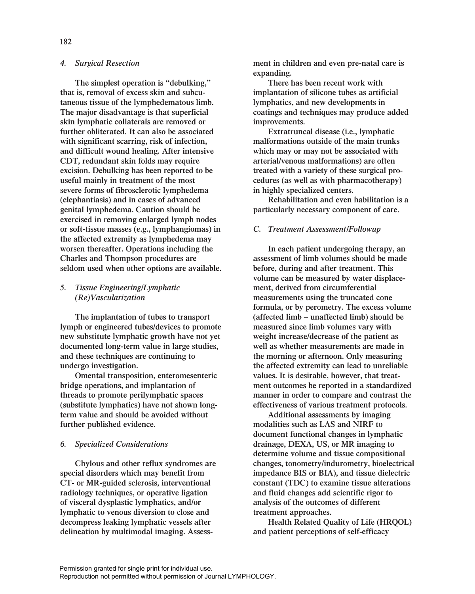**The simplest operation is "debulking," that is, removal of excess skin and subcutaneous tissue of the lymphedematous limb. The major disadvantage is that superficial skin lymphatic collaterals are removed or further obliterated. It can also be associated with significant scarring, risk of infection, and difficult wound healing. After intensive CDT, redundant skin folds may require excision. Debulking has been reported to be useful mainly in treatment of the most severe forms of fibrosclerotic lymphedema (elephantiasis) and in cases of advanced genital lymphedema. Caution should be exercised in removing enlarged lymph nodes or soft-tissue masses (e.g., lymphangiomas) in the affected extremity as lymphedema may worsen thereafter. Operations including the Charles and Thompson procedures are seldom used when other options are available.**

# *5. Tissue Engineering/Lymphatic (Re)Vascularization*

**The implantation of tubes to transport lymph or engineered tubes/devices to promote new substitute lymphatic growth have not yet documented long-term value in large studies, and these techniques are continuing to undergo investigation.**

**Omental transposition, enteromesenteric bridge operations, and implantation of threads to promote perilymphatic spaces (substitute lymphatics) have not shown longterm value and should be avoided without further published evidence.**

# *6. Specialized Considerations*

**Chylous and other reflux syndromes are special disorders which may benefit from CT- or MR-guided sclerosis, interventional radiology techniques, or operative ligation of visceral dysplastic lymphatics, and/or lymphatic to venous diversion to close and decompress leaking lymphatic vessels after delineation by multimodal imaging. Assess-** **ment in children and even pre-natal care is expanding.**

**There has been recent work with implantation of silicone tubes as artificial lymphatics, and new developments in coatings and techniques may produce added improvements.**

**Extratruncal disease (i.e., lymphatic malformations outside of the main trunks which may or may not be associated with arterial/venous malformations) are often treated with a variety of these surgical procedures (as well as with pharmacotherapy) in highly specialized centers.**

**Rehabilitation and even habilitation is a particularly necessary component of care.**

## *C. Treatment Assessment/Followup*

**In each patient undergoing therapy, an assessment of limb volumes should be made before, during and after treatment. This volume can be measured by water displacement, derived from circumferential measurements using the truncated cone formula, or by perometry. The excess volume (affected limb – unaffected limb) should be measured since limb volumes vary with weight increase/decrease of the patient as well as whether measurements are made in the morning or afternoon. Only measuring the affected extremity can lead to unreliable values. It is desirable, however, that treatment outcomes be reported in a standardized manner in order to compare and contrast the effectiveness of various treatment protocols.**

**Additional assessments by imaging modalities such as LAS and NIRF to document functional changes in lymphatic drainage, DEXA, US, or MR imaging to determine volume and tissue compositional changes, tonometry/indurometry, bioelectrical impedance BIS or BIA), and tissue dielectric constant (TDC) to examine tissue alterations and fluid changes add scientific rigor to analysis of the outcomes of different treatment approaches.** 

**Health Related Quality of Life (HRQOL) and patient perceptions of self-efficacy**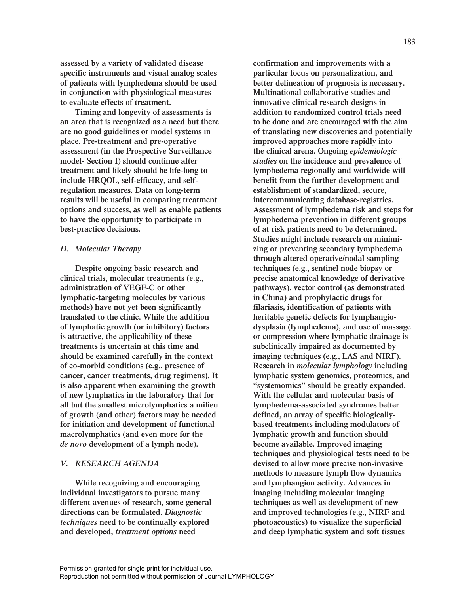**assessed by a variety of validated disease specific instruments and visual analog scales of patients with lymphedema should be used in conjunction with physiological measures to evaluate effects of treatment.** 

**Timing and longevity of assessments is an area that is recognized as a need but there are no good guidelines or model systems in place. Pre-treatment and pre-operative assessment (in the Prospective Surveillance model- Section I) should continue after treatment and likely should be life-long to include HRQOL, self-efficacy, and selfregulation measures. Data on long-term results will be useful in comparing treatment options and success, as well as enable patients to have the opportunity to participate in best-practice decisions.** 

## *D. Molecular Therapy*

**Despite ongoing basic research and clinical trials, molecular treatments (e.g., administration of VEGF-C or other lymphatic-targeting molecules by various methods) have not yet been significantly translated to the clinic. While the addition of lymphatic growth (or inhibitory) factors is attractive, the applicability of these treatments is uncertain at this time and should be examined carefully in the context of co-morbid conditions (e.g., presence of cancer, cancer treatments, drug regimens). It is also apparent when examining the growth of new lymphatics in the laboratory that for all but the smallest microlymphatics a milieu of growth (and other) factors may be needed for initiation and development of functional macrolymphatics (and even more for the**  *de novo* **development of a lymph node).**

## *V. RESEARCH AGENDA*

**While recognizing and encouraging individual investigators to pursue many different avenues of research, some general directions can be formulated.** *Diagnostic techniques* **need to be continually explored and developed,** *treatment options* **need**

**confirmation and improvements with a particular focus on personalization, and better delineation of prognosis is necessary. Multinational collaborative studies and innovative clinical research designs in addition to randomized control trials need to be done and are encouraged with the aim of translating new discoveries and potentially improved approaches more rapidly into the clinical arena. Ongoing** *epidemiologic studies* **on the incidence and prevalence of lymphedema regionally and worldwide will benefit from the further development and establishment of standardized, secure, intercommunicating database-registries. Assessment of lymphedema risk and steps for lymphedema prevention in different groups of at risk patients need to be determined. Studies might include research on minimizing or preventing secondary lymphedema through altered operative/nodal sampling techniques (e.g., sentinel node biopsy or precise anatomical knowledge of derivative pathways), vector control (as demonstrated in China) and prophylactic drugs for filariasis, identification of patients with heritable genetic defects for lymphangiodysplasia (lymphedema), and use of massage or compression where lymphatic drainage is subclinically impaired as documented by imaging techniques (e.g., LAS and NIRF). Research in** *molecular lymphology* **including lymphatic system genomics, proteomics, and "systemomics" should be greatly expanded. With the cellular and molecular basis of lymphedema-associated syndromes better defined, an array of specific biologicallybased treatments including modulators of lymphatic growth and function should become available. Improved imaging techniques and physiological tests need to be devised to allow more precise non-invasive methods to measure lymph flow dynamics and lymphangion activity. Advances in imaging including molecular imaging techniques as well as development of new and improved technologies (e.g., NIRF and photoacoustics) to visualize the superficial and deep lymphatic system and soft tissues**